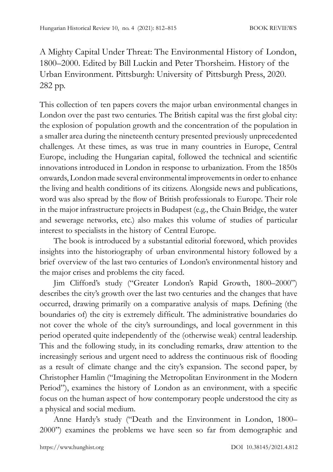A Mighty Capital Under Threat: The Environmental History of London, 1800–2000. Edited by Bill Luckin and Peter Thorsheim. History of the Urban Environment. Pittsburgh: University of Pittsburgh Press, 2020. 282 pp.

This collection of ten papers covers the major urban environmental changes in London over the past two centuries. The British capital was the first global city: the explosion of population growth and the concentration of the population in a smaller area during the nineteenth century presented previously unprecedented challenges. At these times, as was true in many countries in Europe, Central Europe, including the Hungarian capital, followed the technical and scientific innovations introduced in London in response to urbanization. From the 1850s onwards, London made several environmental improvements in order to enhance the living and health conditions of its citizens. Alongside news and publications, word was also spread by the flow of British professionals to Europe. Their role in the major infrastructure projects in Budapest (e.g., the Chain Bridge, the water and sewerage networks, etc.) also makes this volume of studies of particular interest to specialists in the history of Central Europe.

The book is introduced by a substantial editorial foreword, which provides insights into the historiography of urban environmental history followed by a brief overview of the last two centuries of London's environmental history and the major crises and problems the city faced.

Jim Clifford's study ("Greater London's Rapid Growth, 1800–2000") describes the city's growth over the last two centuries and the changes that have occurred, drawing primarily on a comparative analysis of maps. Defining (the boundaries of) the city is extremely difficult. The administrative boundaries do not cover the whole of the city's surroundings, and local government in this period operated quite independently of the (otherwise weak) central leadership. This and the following study, in its concluding remarks, draw attention to the increasingly serious and urgent need to address the continuous risk of flooding as a result of climate change and the city's expansion. The second paper, by Christopher Hamlin ("Imagining the Metropolitan Environment in the Modern Period"), examines the history of London as an environment, with a specific focus on the human aspect of how contemporary people understood the city as a physical and social medium.

Anne Hardy's study ("Death and the Environment in London, 1800– 2000") examines the problems we have seen so far from demographic and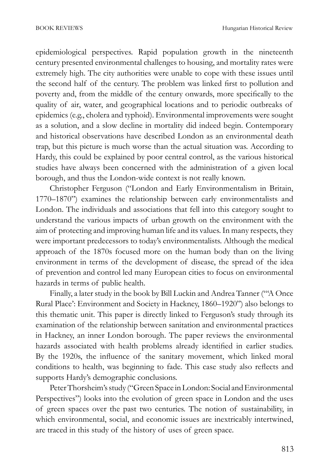epidemiological perspectives. Rapid population growth in the nineteenth century presented environmental challenges to housing, and mortality rates were extremely high. The city authorities were unable to cope with these issues until the second half of the century. The problem was linked first to pollution and poverty and, from the middle of the century onwards, more specifically to the quality of air, water, and geographical locations and to periodic outbreaks of epidemics (e.g., cholera and typhoid). Environmental improvements were sought as a solution, and a slow decline in mortality did indeed begin. Contemporary and historical observations have described London as an environmental death trap, but this picture is much worse than the actual situation was. According to Hardy, this could be explained by poor central control, as the various historical studies have always been concerned with the administration of a given local borough, and thus the London-wide context is not really known.

Christopher Ferguson ("London and Early Environmentalism in Britain, 1770–1870") examines the relationship between early environmentalists and London. The individuals and associations that fell into this category sought to understand the various impacts of urban growth on the environment with the aim of protecting and improving human life and its values. In many respects, they were important predecessors to today's environmentalists. Although the medical approach of the 1870s focused more on the human body than on the living environment in terms of the development of disease, the spread of the idea of prevention and control led many European cities to focus on environmental hazards in terms of public health.

Finally, a later study in the book by Bill Luckin and Andrea Tanner ("'A Once Rural Place': Environment and Society in Hackney, 1860–1920") also belongs to this thematic unit. This paper is directly linked to Ferguson's study through its examination of the relationship between sanitation and environmental practices in Hackney, an inner London borough. The paper reviews the environmental hazards associated with health problems already identified in earlier studies. By the 1920s, the influence of the sanitary movement, which linked moral conditions to health, was beginning to fade. This case study also reflects and supports Hardy's demographic conclusions.

Peter Thorsheim's study ("Green Space in London: Social and Environmental Perspectives") looks into the evolution of green space in London and the uses of green spaces over the past two centuries. The notion of sustainability, in which environmental, social, and economic issues are inextricably intertwined, are traced in this study of the history of uses of green space.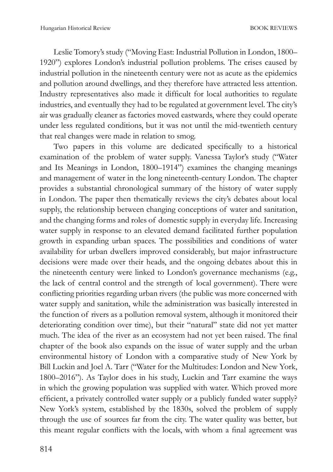Leslie Tomory's study ("Moving East: Industrial Pollution in London, 1800– 1920") explores London's industrial pollution problems. The crises caused by industrial pollution in the nineteenth century were not as acute as the epidemics and pollution around dwellings, and they therefore have attracted less attention. Industry representatives also made it difficult for local authorities to regulate industries, and eventually they had to be regulated at government level. The city's air was gradually cleaner as factories moved eastwards, where they could operate under less regulated conditions, but it was not until the mid-twentieth century that real changes were made in relation to smog.

Two papers in this volume are dedicated specifically to a historical examination of the problem of water supply. Vanessa Taylor's study ("Water and Its Meanings in London, 1800–1914") examines the changing meanings and management of water in the long nineteenth-century London. The chapter provides a substantial chronological summary of the history of water supply in London. The paper then thematically reviews the city's debates about local supply, the relationship between changing conceptions of water and sanitation, and the changing forms and roles of domestic supply in everyday life. Increasing water supply in response to an elevated demand facilitated further population growth in expanding urban spaces. The possibilities and conditions of water availability for urban dwellers improved considerably, but major infrastructure decisions were made over their heads, and the ongoing debates about this in the nineteenth century were linked to London's governance mechanisms (e.g., the lack of central control and the strength of local government). There were conflicting priorities regarding urban rivers (the public was more concerned with water supply and sanitation, while the administration was basically interested in the function of rivers as a pollution removal system, although it monitored their deteriorating condition over time), but their "natural" state did not yet matter much. The idea of the river as an ecosystem had not yet been raised. The final chapter of the book also expands on the issue of water supply and the urban environmental history of London with a comparative study of New York by Bill Luckin and Joel A. Tarr ("Water for the Multitudes: London and New York, 1800–2016"). As Taylor does in his study, Luckin and Tarr examine the ways in which the growing population was supplied with water. Which proved more efficient, a privately controlled water supply or a publicly funded water supply? New York's system, established by the 1830s, solved the problem of supply through the use of sources far from the city. The water quality was better, but this meant regular conflicts with the locals, with whom a final agreement was